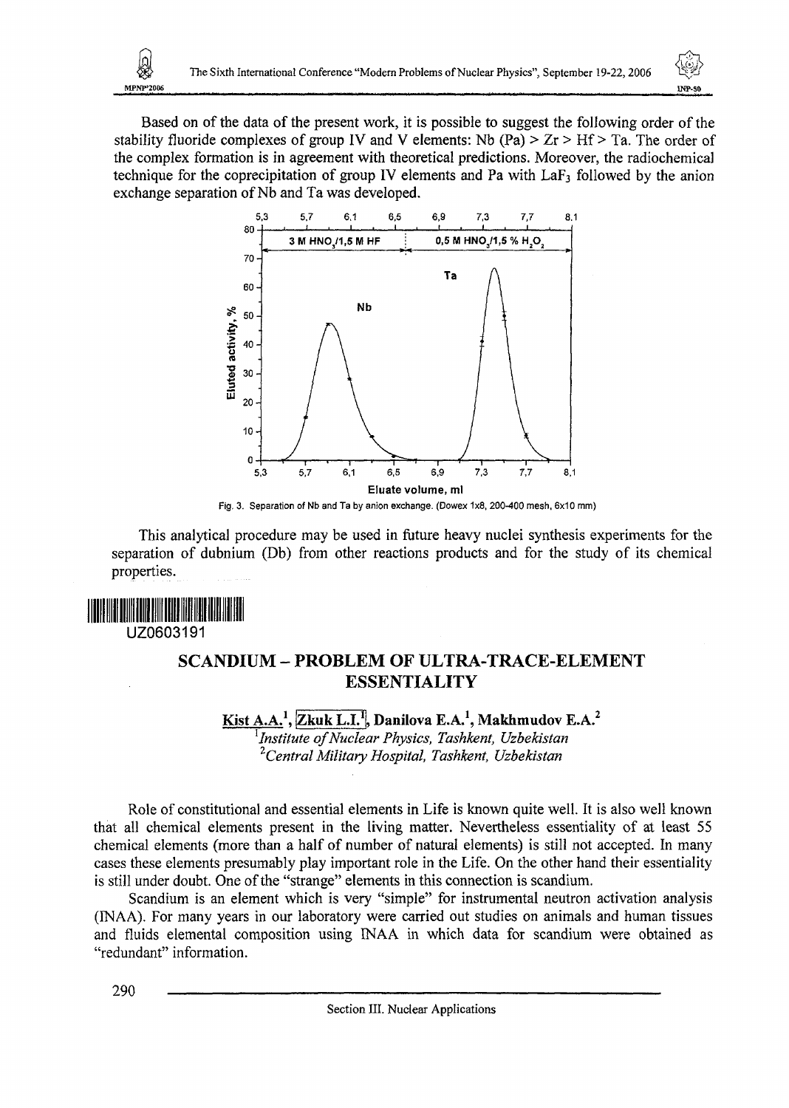Based on of the data of the present work, it is possible to suggest the following order of the stability fluoride complexes of group IV and V elements: Nb (Pa)  $> Zr > Hf > Ta$ . The order of the complex formation is in agreement with theoretical predictions. Moreover, the radiochemical technique for the coprecipitation of group IV elements and Pa with  $LaF<sub>3</sub>$  followed by the anion exchange separation of Nb and Ta was developed.



Fig. 3. Separation of Nb and Ta by anion exchange. (Dowex 1x8, 200-400 mesh, 6x10 mm)

This analytical procedure may be used in future heavy nuclei synthesis experiments for the separation of dubnium (Db) from other reactions products and for the study of its chemical properties.

MPNP'2004

## UZ0603191

## SCANDIUM - PROBLEM OF ULTRA-TRACE-ELEMENT **ESSENTIALITY**

**Kist A.A.<sup>1</sup> , jZkuk L.I.<sup>1</sup> !, Danilova E.A.<sup>1</sup> , Makhmudov E.A.<sup>2</sup>** *1 Institute of Nuclear Physics, Tashkent, Uzbekistan <sup>2</sup>Central Military Hospital, Tashkent, Uzbekistan*

Role of constitutional and essential elements in Life is known quite well. It is also well known that all chemical elements present in the living matter. Nevertheless essentiality of at least 55 chemical elements (more than a half of number of natural elements) is still not accepted. In many cases these elements presumably play important role in the Life. On the other hand their essentiality is still under doubt. One of the "strange" elements in this connection is scandium.

Scandium is an element which is very "simple" for instrumental neutron activation analysis (INAA). For many years in our laboratory were carried out studies on animals and human tissues and fluids elemental composition using INAA in which data for scandium were obtained as "redundant" information.